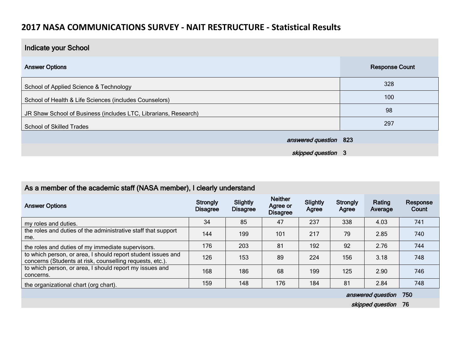## **2017 NASA COMMUNICATIONS SURVEY - NAIT RESTRUCTURE - Statistical Results**

| Indicate your School                                            |                       |
|-----------------------------------------------------------------|-----------------------|
| <b>Answer Options</b>                                           | <b>Response Count</b> |
| School of Applied Science & Technology                          | 328                   |
| School of Health & Life Sciences (includes Counselors)          | 100                   |
| JR Shaw School of Business (includes LTC, Librarians, Research) | 98                    |
| <b>School of Skilled Trades</b>                                 | 297                   |
| answered question 823                                           |                       |
| skipped question 3                                              |                       |

| As a member of the academic staff (NASA member), I clearly understand                                                    |                             |                             |                                               |                   |                   |                   |                   |  |
|--------------------------------------------------------------------------------------------------------------------------|-----------------------------|-----------------------------|-----------------------------------------------|-------------------|-------------------|-------------------|-------------------|--|
| <b>Answer Options</b>                                                                                                    | Strongly<br><b>Disagree</b> | Slightly<br><b>Disagree</b> | <b>Neither</b><br>Agree or<br><b>Disagree</b> | Slightly<br>Agree | Strongly<br>Agree | Rating<br>Average | Response<br>Count |  |
| my roles and duties.                                                                                                     | 34                          | 85                          | 47                                            | 237               | 338               | 4.03              | 741               |  |
| the roles and duties of the administrative staff that support<br>me.                                                     | 144                         | 199                         | 101                                           | 217               | 79                | 2.85              | 740               |  |
| the roles and duties of my immediate supervisors.                                                                        | 176                         | 203                         | 81                                            | 192               | 92                | 2.76              | 744               |  |
| to which person, or area, I should report student issues and<br>concerns (Students at risk, counselling requests, etc.). | 126                         | 153                         | 89                                            | 224               | 156               | 3.18              | 748               |  |
| to which person, or area, I should report my issues and<br>concerns.                                                     | 168                         | 186                         | 68                                            | 199               | 125               | 2.90              | 746               |  |
| the organizational chart (org chart).                                                                                    | 159                         | 148                         | 176                                           | 184               | 81                | 2.84              | 748               |  |

answered question 750

skipped question 76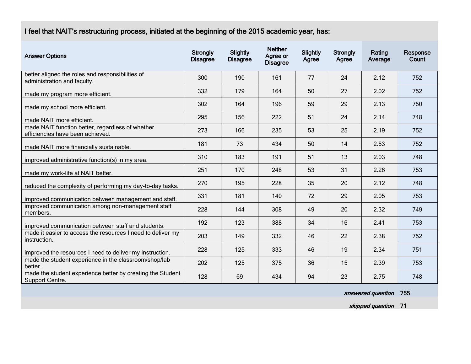## I feel that NAIT's restructuring process, initiated at the beginning of the 2015 academic year, has:

| <b>Answer Options</b>                                                                | <b>Strongly</b><br><b>Disagree</b> | Slightly<br><b>Disagree</b> | <b>Neither</b><br>Agree or<br><b>Disagree</b> | Slightly<br>Agree | <b>Strongly</b><br>Agree | Rating<br>Average | Response<br>Count |
|--------------------------------------------------------------------------------------|------------------------------------|-----------------------------|-----------------------------------------------|-------------------|--------------------------|-------------------|-------------------|
| better aligned the roles and responsibilities of<br>administration and faculty.      | 300                                | 190                         | 161                                           | 77                | 24                       | 2.12              | 752               |
| made my program more efficient.                                                      | 332                                | 179                         | 164                                           | 50                | 27                       | 2.02              | 752               |
| made my school more efficient.                                                       | 302                                | 164                         | 196                                           | 59                | 29                       | 2.13              | 750               |
| made NAIT more efficient.                                                            | 295                                | 156                         | 222                                           | 51                | 24                       | 2.14              | 748               |
| made NAIT function better, regardless of whether<br>efficiencies have been achieved. | 273                                | 166                         | 235                                           | 53                | 25                       | 2.19              | 752               |
| made NAIT more financially sustainable.                                              | 181                                | 73                          | 434                                           | 50                | 14                       | 2.53              | 752               |
| improved administrative function(s) in my area.                                      | 310                                | 183                         | 191                                           | 51                | 13                       | 2.03              | 748               |
| made my work-life at NAIT better.                                                    | 251                                | 170                         | 248                                           | 53                | 31                       | 2.26              | 753               |
| reduced the complexity of performing my day-to-day tasks.                            | 270                                | 195                         | 228                                           | 35                | 20                       | 2.12              | 748               |
| improved communication between management and staff.                                 | 331                                | 181                         | 140                                           | 72                | 29                       | 2.05              | 753               |
| improved communication among non-management staff<br>members.                        | 228                                | 144                         | 308                                           | 49                | 20                       | 2.32              | 749               |
| improved communication between staff and students.                                   | 192                                | 123                         | 388                                           | 34                | 16                       | 2.41              | 753               |
| made it easier to access the resources I need to deliver my<br>instruction.          | 203                                | 149                         | 332                                           | 46                | 22                       | 2.38              | 752               |
| improved the resources I need to deliver my instruction.                             | 228                                | 125                         | 333                                           | 46                | 19                       | 2.34              | 751               |
| made the student experience in the classroom/shop/lab<br>better.                     | 202                                | 125                         | 375                                           | 36                | 15                       | 2.39              | 753               |
| made the student experience better by creating the Student<br>Support Centre.        | 128                                | 69                          | 434                                           | 94                | 23                       | 2.75              | 748               |

answered question 755

skipped question 71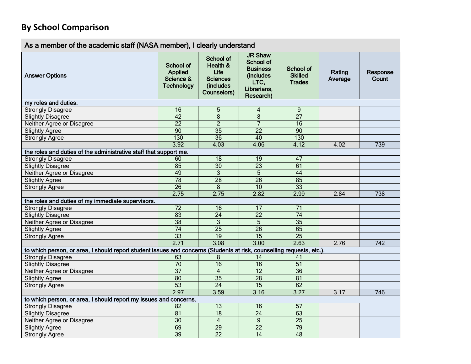## **By School Comparison**

## As a member of the academic staff (NASA member), I clearly understand

| <b>Answer Options</b>                                                                                                 | <b>School of</b><br><b>Applied</b><br>Science &<br><b>Technology</b> | <b>School of</b><br>Health &<br>Life<br><b>Sciences</b><br><i>(includes)</i><br><b>Counselors)</b> | <b>JR Shaw</b><br><b>School of</b><br><b>Business</b><br>(includes)<br>LTC,<br>Librarians,<br>Research) | <b>School of</b><br><b>Skilled</b><br><b>Trades</b> | Rating<br>Average | Response<br>Count |
|-----------------------------------------------------------------------------------------------------------------------|----------------------------------------------------------------------|----------------------------------------------------------------------------------------------------|---------------------------------------------------------------------------------------------------------|-----------------------------------------------------|-------------------|-------------------|
| my roles and duties.                                                                                                  |                                                                      |                                                                                                    |                                                                                                         |                                                     |                   |                   |
| <b>Strongly Disagree</b>                                                                                              | 16                                                                   | 5                                                                                                  | $\overline{\mathbf{4}}$                                                                                 | 9                                                   |                   |                   |
| <b>Slightly Disagree</b>                                                                                              | 42                                                                   | 8                                                                                                  | 8                                                                                                       | $\overline{27}$                                     |                   |                   |
| Neither Agree or Disagree                                                                                             | $\overline{22}$                                                      | $\overline{2}$                                                                                     | 7                                                                                                       | 16                                                  |                   |                   |
| <b>Slightly Agree</b>                                                                                                 | 90                                                                   | 35                                                                                                 | $\overline{22}$                                                                                         | 90                                                  |                   |                   |
| <b>Strongly Agree</b>                                                                                                 | 130                                                                  | 36                                                                                                 | 40                                                                                                      | 130                                                 |                   |                   |
|                                                                                                                       | 3.92                                                                 | 4.03                                                                                               | 4.06                                                                                                    | 4.12                                                | 4.02              | 739               |
| the roles and duties of the administrative staff that support me.                                                     |                                                                      |                                                                                                    |                                                                                                         |                                                     |                   |                   |
| <b>Strongly Disagree</b>                                                                                              | 60                                                                   | 18                                                                                                 | 19                                                                                                      | 47                                                  |                   |                   |
| <b>Slightly Disagree</b>                                                                                              | 85                                                                   | $\overline{30}$                                                                                    | $\overline{23}$                                                                                         | 61                                                  |                   |                   |
| Neither Agree or Disagree                                                                                             | 49                                                                   | $\overline{3}$                                                                                     | $\overline{5}$                                                                                          | 44                                                  |                   |                   |
| <b>Slightly Agree</b>                                                                                                 | $\overline{78}$                                                      | $\overline{28}$                                                                                    | $\overline{26}$                                                                                         | 85                                                  |                   |                   |
| <b>Strongly Agree</b>                                                                                                 | $\overline{26}$                                                      | 8                                                                                                  | 10                                                                                                      | 33                                                  |                   |                   |
|                                                                                                                       | 2.75                                                                 | 2.75                                                                                               | 2.82                                                                                                    | 2.99                                                | 2.84              | 738               |
| the roles and duties of my immediate supervisors.                                                                     |                                                                      |                                                                                                    |                                                                                                         |                                                     |                   |                   |
| <b>Strongly Disagree</b>                                                                                              | 72                                                                   | 16                                                                                                 | 17                                                                                                      | 71                                                  |                   |                   |
| <b>Slightly Disagree</b>                                                                                              | 83                                                                   | $\overline{24}$                                                                                    | $\overline{22}$                                                                                         | $\overline{74}$                                     |                   |                   |
| Neither Agree or Disagree                                                                                             | $\overline{38}$                                                      | 3                                                                                                  | 5                                                                                                       | $\overline{35}$                                     |                   |                   |
| <b>Slightly Agree</b>                                                                                                 | $\overline{74}$                                                      | $\overline{25}$                                                                                    | $\overline{26}$                                                                                         | 65                                                  |                   |                   |
| <b>Strongly Agree</b>                                                                                                 | 33                                                                   | 19                                                                                                 | 15                                                                                                      | $\overline{25}$                                     |                   |                   |
|                                                                                                                       | 2.71                                                                 | 3.08                                                                                               | 3.00                                                                                                    | 2.63                                                | 2.76              | $\overline{742}$  |
| to which person, or area, I should report student issues and concerns (Students at risk, counselling requests, etc.). |                                                                      |                                                                                                    |                                                                                                         |                                                     |                   |                   |
| <b>Strongly Disagree</b>                                                                                              | 63                                                                   | 8                                                                                                  | 14                                                                                                      | 41                                                  |                   |                   |
| <b>Slightly Disagree</b>                                                                                              | $\overline{70}$                                                      | 16                                                                                                 | 16                                                                                                      | $\overline{51}$                                     |                   |                   |
| Neither Agree or Disagree                                                                                             | $\overline{37}$                                                      | $\overline{4}$                                                                                     | $\overline{12}$                                                                                         | $\overline{36}$                                     |                   |                   |
| <b>Slightly Agree</b>                                                                                                 | 80                                                                   | 35                                                                                                 | 28                                                                                                      | 81                                                  |                   |                   |
| <b>Strongly Agree</b>                                                                                                 | 53                                                                   | $\overline{24}$                                                                                    | 15                                                                                                      | 62                                                  |                   |                   |
|                                                                                                                       | 2.97                                                                 | 3.59                                                                                               | 3.16                                                                                                    | 3.27                                                | 3.17              | 746               |
| to which person, or area, I should report my issues and concerns.                                                     |                                                                      |                                                                                                    |                                                                                                         |                                                     |                   |                   |
| <b>Strongly Disagree</b>                                                                                              | 82                                                                   | $\overline{13}$                                                                                    | 16                                                                                                      | $\overline{57}$                                     |                   |                   |
| <b>Slightly Disagree</b>                                                                                              | 81                                                                   | $\overline{18}$                                                                                    | $\overline{24}$                                                                                         | 63                                                  |                   |                   |
| Neither Agree or Disagree                                                                                             | 30                                                                   | $\overline{4}$                                                                                     | $\boldsymbol{9}$                                                                                        | $\overline{25}$                                     |                   |                   |
| <b>Slightly Agree</b>                                                                                                 | 69                                                                   | $\overline{29}$                                                                                    | $\overline{22}$                                                                                         | $\overline{79}$                                     |                   |                   |
| <b>Strongly Agree</b>                                                                                                 | 39                                                                   | $\overline{22}$                                                                                    | $\overline{14}$                                                                                         | 48                                                  |                   |                   |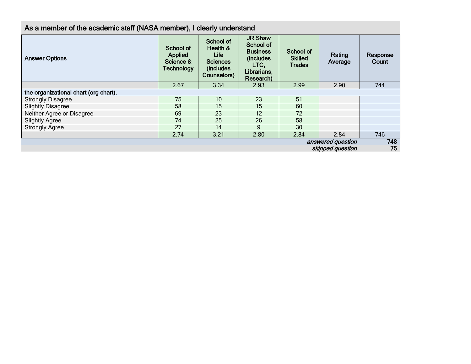| <b>Answer Options</b>                 | School of<br><b>Applied</b><br>Science &<br><b>Technology</b> | School of<br>Health &<br><b>Life</b><br><b>Sciences</b><br>(includes)<br>Counselors) | <b>JR Shaw</b><br>School of<br><b>Business</b><br>(includes<br>LTC.<br>Librarians,<br>Research) | School of<br><b>Skilled</b><br><b>Trades</b> | Rating<br>Average | Response<br>Count |
|---------------------------------------|---------------------------------------------------------------|--------------------------------------------------------------------------------------|-------------------------------------------------------------------------------------------------|----------------------------------------------|-------------------|-------------------|
|                                       | 2.67                                                          | 3.34                                                                                 | 2.93                                                                                            | 2.99                                         | 2.90              | 744               |
| the organizational chart (org chart). |                                                               |                                                                                      |                                                                                                 |                                              |                   |                   |
| <b>Strongly Disagree</b>              | 75                                                            | 10                                                                                   | 23                                                                                              | 51                                           |                   |                   |
| <b>Slightly Disagree</b>              | 58                                                            | 15                                                                                   | 15                                                                                              | 60                                           |                   |                   |
| Neither Agree or Disagree             | 69                                                            | 23                                                                                   | 12                                                                                              | 72                                           |                   |                   |
| <b>Slightly Agree</b>                 | 74                                                            | 25                                                                                   | 26                                                                                              | 58                                           |                   |                   |
| <b>Strongly Agree</b>                 | 27                                                            | 14                                                                                   | 9                                                                                               | 30                                           |                   |                   |
|                                       | 2.74                                                          | 3.21                                                                                 | 2.80                                                                                            | 2.84                                         | 2.84              | 746               |
| answered question<br>skipped question |                                                               |                                                                                      |                                                                                                 |                                              |                   |                   |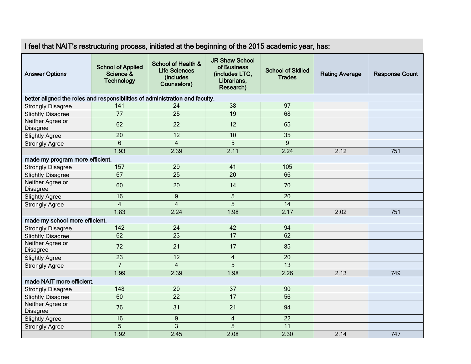| I feel that NAIT's restructuring process, initiated at the beginning of the 2015 academic year, has: |                                                            |                                                                                   |                                                                                    |                                           |                       |                       |  |
|------------------------------------------------------------------------------------------------------|------------------------------------------------------------|-----------------------------------------------------------------------------------|------------------------------------------------------------------------------------|-------------------------------------------|-----------------------|-----------------------|--|
| <b>Answer Options</b>                                                                                | <b>School of Applied</b><br>Science &<br><b>Technology</b> | <b>School of Health &amp;</b><br><b>Life Sciences</b><br>(includes<br>Counselors) | <b>JR Shaw School</b><br>of Business<br>(includes LTC,<br>Librarians,<br>Research) | <b>School of Skilled</b><br><b>Trades</b> | <b>Rating Average</b> | <b>Response Count</b> |  |
| better aligned the roles and responsibilities of administration and faculty.                         |                                                            |                                                                                   |                                                                                    |                                           |                       |                       |  |
| <b>Strongly Disagree</b>                                                                             | 141                                                        | 24                                                                                | 38                                                                                 | 97                                        |                       |                       |  |
| <b>Slightly Disagree</b>                                                                             | 77                                                         | $\overline{25}$                                                                   | 19                                                                                 | 68                                        |                       |                       |  |
| Neither Agree or<br><b>Disagree</b>                                                                  | 62                                                         | 22                                                                                | 12                                                                                 | 65                                        |                       |                       |  |
| <b>Slightly Agree</b>                                                                                | 20                                                         | 12                                                                                | 10                                                                                 | 35                                        |                       |                       |  |
| <b>Strongly Agree</b>                                                                                | $6\phantom{a}$                                             | $\overline{4}$                                                                    | 5                                                                                  | 9                                         |                       |                       |  |
|                                                                                                      | 1.93                                                       | 2.39                                                                              | 2.11                                                                               | 2.24                                      | 2.12                  | 751                   |  |
| made my program more efficient.                                                                      |                                                            |                                                                                   |                                                                                    |                                           |                       |                       |  |
| <b>Strongly Disagree</b>                                                                             | 157                                                        | 29                                                                                | 41                                                                                 | 105                                       |                       |                       |  |
| <b>Slightly Disagree</b>                                                                             | 67                                                         | 25                                                                                | 20                                                                                 | 66                                        |                       |                       |  |
| Neither Agree or<br><b>Disagree</b>                                                                  | 60                                                         | 20                                                                                | 14                                                                                 | 70                                        |                       |                       |  |
| <b>Slightly Agree</b>                                                                                | 16                                                         | $\mathsf g$                                                                       | $5\phantom{.}$                                                                     | 20                                        |                       |                       |  |
| <b>Strongly Agree</b>                                                                                | $\overline{4}$                                             | $\overline{\mathbf{4}}$                                                           | 5                                                                                  | 14                                        |                       |                       |  |
|                                                                                                      | 1.83                                                       | 2.24                                                                              | 1.98                                                                               | 2.17                                      | 2.02                  | 751                   |  |
| made my school more efficient.                                                                       |                                                            |                                                                                   |                                                                                    |                                           |                       |                       |  |
| <b>Strongly Disagree</b>                                                                             | 142                                                        | 24                                                                                | 42                                                                                 | 94                                        |                       |                       |  |
| <b>Slightly Disagree</b>                                                                             | 62                                                         | 23                                                                                | $\overline{17}$                                                                    | 62                                        |                       |                       |  |
| Neither Agree or<br><b>Disagree</b>                                                                  | 72                                                         | 21                                                                                | 17                                                                                 | 85                                        |                       |                       |  |
| <b>Slightly Agree</b>                                                                                | 23                                                         | 12                                                                                | $\overline{4}$                                                                     | 20                                        |                       |                       |  |
| <b>Strongly Agree</b>                                                                                | $\overline{7}$                                             | $\overline{4}$                                                                    | 5                                                                                  | 13                                        |                       |                       |  |
|                                                                                                      | 1.99                                                       | 2.39                                                                              | 1.98                                                                               | 2.26                                      | 2.13                  | 749                   |  |
| made NAIT more efficient.                                                                            |                                                            |                                                                                   |                                                                                    |                                           |                       |                       |  |
| <b>Strongly Disagree</b>                                                                             | 148                                                        | 20                                                                                | 37                                                                                 | 90                                        |                       |                       |  |
| <b>Slightly Disagree</b>                                                                             | 60                                                         | 22                                                                                | 17                                                                                 | 56                                        |                       |                       |  |
| Neither Agree or<br>Disagree                                                                         | 76                                                         | 31                                                                                | 21                                                                                 | 94                                        |                       |                       |  |
| <b>Slightly Agree</b>                                                                                | 16                                                         | 9                                                                                 | $\overline{4}$                                                                     | 22                                        |                       |                       |  |
| <b>Strongly Agree</b>                                                                                | 5                                                          | 3                                                                                 | 5                                                                                  | 11                                        |                       |                       |  |
|                                                                                                      | 1.92                                                       | 2.45                                                                              | 2.08                                                                               | 2.30                                      | 2.14                  | 747                   |  |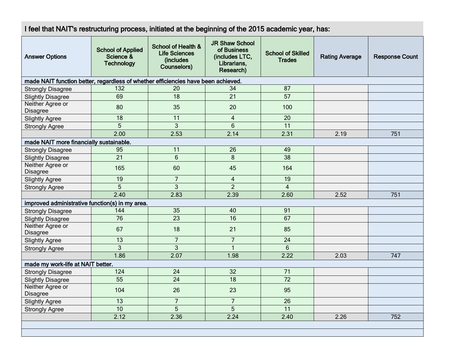| I feel that NAIT's restructuring process, initiated at the beginning of the 2015 academic year, has: |                                                            |                                                                                   |                                                                                    |                                           |                       |                       |  |
|------------------------------------------------------------------------------------------------------|------------------------------------------------------------|-----------------------------------------------------------------------------------|------------------------------------------------------------------------------------|-------------------------------------------|-----------------------|-----------------------|--|
| <b>Answer Options</b>                                                                                | <b>School of Applied</b><br>Science &<br><b>Technology</b> | <b>School of Health &amp;</b><br><b>Life Sciences</b><br>(includes<br>Counselors) | <b>JR Shaw School</b><br>of Business<br>(includes LTC,<br>Librarians.<br>Research) | <b>School of Skilled</b><br><b>Trades</b> | <b>Rating Average</b> | <b>Response Count</b> |  |
| made NAIT function better, regardless of whether efficiencies have been achieved.                    |                                                            |                                                                                   |                                                                                    |                                           |                       |                       |  |
| <b>Strongly Disagree</b>                                                                             | 132                                                        | 20                                                                                | 34                                                                                 | 87                                        |                       |                       |  |
| <b>Slightly Disagree</b>                                                                             | 69                                                         | 18                                                                                | 21                                                                                 | 57                                        |                       |                       |  |
| Neither Agree or<br>Disagree                                                                         | 80                                                         | 35                                                                                | 20                                                                                 | 100                                       |                       |                       |  |
| <b>Slightly Agree</b>                                                                                | $\overline{18}$                                            | $\overline{11}$                                                                   | $\overline{4}$                                                                     | 20                                        |                       |                       |  |
| <b>Strongly Agree</b>                                                                                | $\overline{5}$                                             | $\mathfrak{S}$                                                                    | $6\phantom{1}6$                                                                    | 11                                        |                       |                       |  |
|                                                                                                      | 2.00                                                       | 2.53                                                                              | 2.14                                                                               | 2.31                                      | 2.19                  | 751                   |  |
| made NAIT more financially sustainable.                                                              |                                                            |                                                                                   |                                                                                    |                                           |                       |                       |  |
| <b>Strongly Disagree</b>                                                                             | 95                                                         | 11                                                                                | 26                                                                                 | 49                                        |                       |                       |  |
| <b>Slightly Disagree</b>                                                                             | 21                                                         | $6\phantom{1}6$                                                                   | $\bf 8$                                                                            | 38                                        |                       |                       |  |
| Neither Agree or<br>Disagree                                                                         | 165                                                        | 60                                                                                | 45                                                                                 | 164                                       |                       |                       |  |
| <b>Slightly Agree</b>                                                                                | 19                                                         | $\overline{7}$                                                                    | $\overline{4}$                                                                     | 19                                        |                       |                       |  |
| <b>Strongly Agree</b>                                                                                | 5                                                          | $\overline{3}$                                                                    | $\overline{2}$                                                                     | $\overline{4}$                            |                       |                       |  |
|                                                                                                      | 2.40                                                       | 2.83                                                                              | 2.39                                                                               | 2.60                                      | 2.52                  | 751                   |  |
| improved administrative function(s) in my area.                                                      |                                                            |                                                                                   |                                                                                    |                                           |                       |                       |  |
| <b>Strongly Disagree</b>                                                                             | 144                                                        | 35                                                                                | 40                                                                                 | 91                                        |                       |                       |  |
| <b>Slightly Disagree</b>                                                                             | 76                                                         | $\overline{23}$                                                                   | $\overline{16}$                                                                    | 67                                        |                       |                       |  |
| Neither Agree or<br><b>Disagree</b>                                                                  | 67                                                         | 18                                                                                | 21                                                                                 | 85                                        |                       |                       |  |
| <b>Slightly Agree</b>                                                                                | $\overline{13}$                                            | $\overline{7}$                                                                    | $\overline{7}$                                                                     | $\overline{24}$                           |                       |                       |  |
| <b>Strongly Agree</b>                                                                                | $\overline{3}$                                             | $\overline{3}$                                                                    | $\mathbf{1}$                                                                       | $6\phantom{1}$                            |                       |                       |  |
|                                                                                                      | 1.86                                                       | 2.07                                                                              | 1.98                                                                               | 2.22                                      | 2.03                  | 747                   |  |
| made my work-life at NAIT better.                                                                    |                                                            |                                                                                   |                                                                                    |                                           |                       |                       |  |
| <b>Strongly Disagree</b>                                                                             | 124                                                        | 24                                                                                | 32                                                                                 | 71                                        |                       |                       |  |
| <b>Slightly Disagree</b>                                                                             | $\overline{55}$                                            | $\overline{24}$                                                                   | $\overline{18}$                                                                    | $\overline{72}$                           |                       |                       |  |
| Neither Agree or<br>Disagree                                                                         | 104                                                        | 26                                                                                | 23                                                                                 | 95                                        |                       |                       |  |
| <b>Slightly Agree</b>                                                                                | 13                                                         | $\overline{7}$                                                                    | $\overline{7}$                                                                     | 26                                        |                       |                       |  |
| <b>Strongly Agree</b>                                                                                | 10                                                         | $\overline{5}$                                                                    | $\overline{5}$                                                                     | $\overline{11}$                           |                       |                       |  |
|                                                                                                      | 2.12                                                       | 2.36                                                                              | 2.24                                                                               | 2.40                                      | 2.26                  | 752                   |  |
|                                                                                                      |                                                            |                                                                                   |                                                                                    |                                           |                       |                       |  |
|                                                                                                      |                                                            |                                                                                   |                                                                                    |                                           |                       |                       |  |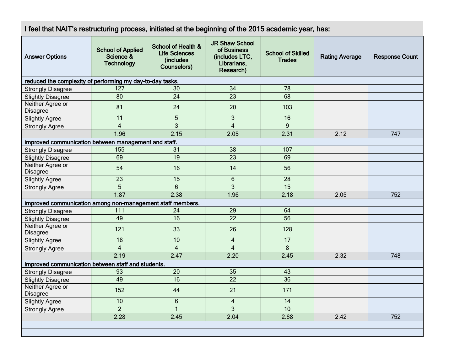I feel that NAIT's restructuring process, initiated at the beginning of the 2015 academic year, has:

| <b>Answer Options</b>                                      | <b>School of Applied</b><br>Science &<br><b>Technology</b> | <b>School of Health &amp;</b><br><b>Life Sciences</b><br>(includes<br>Counselors) | <b>JR Shaw School</b><br>of Business<br>(includes LTC,<br>Librarians,<br>Research) | <b>School of Skilled</b><br><b>Trades</b> | <b>Rating Average</b> | <b>Response Count</b> |
|------------------------------------------------------------|------------------------------------------------------------|-----------------------------------------------------------------------------------|------------------------------------------------------------------------------------|-------------------------------------------|-----------------------|-----------------------|
| reduced the complexity of performing my day-to-day tasks.  |                                                            |                                                                                   |                                                                                    |                                           |                       |                       |
| <b>Strongly Disagree</b>                                   | 127                                                        | 30                                                                                | 34                                                                                 | 78                                        |                       |                       |
| <b>Slightly Disagree</b>                                   | 80                                                         | 24                                                                                | 23                                                                                 | 68                                        |                       |                       |
| Neither Agree or<br>Disagree                               | 81                                                         | 24                                                                                | 20                                                                                 | 103                                       |                       |                       |
| <b>Slightly Agree</b>                                      | 11                                                         | 5                                                                                 | $\mathbf{3}$                                                                       | 16                                        |                       |                       |
| <b>Strongly Agree</b>                                      | $\overline{4}$                                             | 3                                                                                 | $\overline{4}$                                                                     | 9                                         |                       |                       |
|                                                            | 1.96                                                       | 2.15                                                                              | 2.05                                                                               | 2.31                                      | 2.12                  | 747                   |
| improved communication between management and staff.       |                                                            |                                                                                   |                                                                                    |                                           |                       |                       |
| <b>Strongly Disagree</b>                                   | 155                                                        | 31                                                                                | 38                                                                                 | 107                                       |                       |                       |
| <b>Slightly Disagree</b>                                   | 69                                                         | 19                                                                                | 23                                                                                 | 69                                        |                       |                       |
| Neither Agree or<br>Disagree                               | 54                                                         | 16                                                                                | 14                                                                                 | 56                                        |                       |                       |
| <b>Slightly Agree</b>                                      | 23                                                         | 15                                                                                | $6\phantom{1}$                                                                     | 28                                        |                       |                       |
| <b>Strongly Agree</b>                                      | 5                                                          | $6\phantom{1}$                                                                    | $\overline{3}$                                                                     | 15                                        |                       |                       |
|                                                            | 1.87                                                       | 2.38                                                                              | 1.96                                                                               | 2.18                                      | 2.05                  | 752                   |
| improved communication among non-management staff members. |                                                            |                                                                                   |                                                                                    |                                           |                       |                       |
| <b>Strongly Disagree</b>                                   | 111                                                        | 24                                                                                | 29                                                                                 | 64                                        |                       |                       |
| <b>Slightly Disagree</b>                                   | 49                                                         | $\overline{16}$                                                                   | 22                                                                                 | $\overline{56}$                           |                       |                       |
| Neither Agree or<br>Disagree                               | 121                                                        | 33                                                                                | 26                                                                                 | 128                                       |                       |                       |
| <b>Slightly Agree</b>                                      | $\overline{18}$                                            | 10                                                                                | $\overline{4}$                                                                     | $\overline{17}$                           |                       |                       |
| <b>Strongly Agree</b>                                      | $\overline{\mathbf{4}}$                                    | $\overline{4}$                                                                    | $\overline{4}$                                                                     | 8                                         |                       |                       |
|                                                            | 2.19                                                       | 2.47                                                                              | 2.20                                                                               | 2.45                                      | 2.32                  | 748                   |
| improved communication between staff and students.         |                                                            |                                                                                   |                                                                                    |                                           |                       |                       |
| <b>Strongly Disagree</b>                                   | 93                                                         | 20                                                                                | 35                                                                                 | 43                                        |                       |                       |
| <b>Slightly Disagree</b>                                   | 49                                                         | 16                                                                                | 22                                                                                 | 36                                        |                       |                       |
| Neither Agree or<br>Disagree                               | 152                                                        | 44                                                                                | 21                                                                                 | 171                                       |                       |                       |
| <b>Slightly Agree</b>                                      | 10                                                         | $6\phantom{1}$                                                                    | $\overline{4}$                                                                     | 14                                        |                       |                       |
| <b>Strongly Agree</b>                                      | $\overline{2}$                                             | $\overline{1}$                                                                    | 3                                                                                  | 10                                        |                       |                       |
|                                                            | 2.28                                                       | 2.45                                                                              | 2.04                                                                               | 2.68                                      | 2.42                  | 752                   |
|                                                            |                                                            |                                                                                   |                                                                                    |                                           |                       |                       |